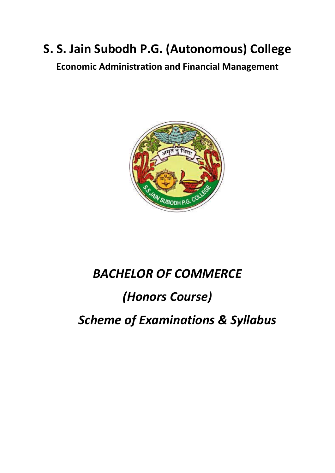## **S. S. Jain Subodh P.G. (Autonomous) College**

**Economic Administration and Financial Management**



## *BACHELOR OF COMMERCE*

## *(Honors Course)*

*Scheme of Examinations & Syllabus*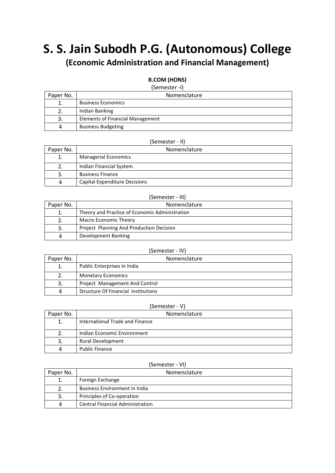# **S. S. Jain Subodh P.G. (Autonomous) College**

## **(Economic Administration and Financial Management)**

#### **B.COM (HONS)**

#### (Semester -I)

| Paper No. | Nomenclature                            |
|-----------|-----------------------------------------|
|           | <b>Business Economics</b>               |
|           | Indian Banking                          |
| 3.        | <b>Elements of Financial Management</b> |
| 4         | <b>Business Budgeting</b>               |

#### (Semester - II)

| Paper No. | Nomenclature                  |
|-----------|-------------------------------|
|           | <b>Managerial Economics</b>   |
|           | Indian Financial System       |
| 3.        | <b>Business Finance</b>       |
|           | Capital Expenditure Decisions |

#### (Semester - III)

| Paper No. | Nomenclature                                   |
|-----------|------------------------------------------------|
|           | Theory and Practice of Economic Administration |
|           | <b>Macro Economic Theory</b>                   |
| 3.        | Project Planning And Production Decision       |
|           | Development Banking                            |

#### (Semester - IV)

| Paper No. | Nomenclature                               |
|-----------|--------------------------------------------|
|           | Public Enterprises In India                |
|           | <b>Monetary Economics</b>                  |
| 3.        | Project Management And Control             |
|           | <b>Structure Of Financial Institutions</b> |

#### (Semester - V)

| Paper No. | Nomenclature                    |
|-----------|---------------------------------|
| 1.        | International Trade and Finance |
|           | Indian Economic Environment     |
| 3.        | <b>Rural Development</b>        |
|           | <b>Public Finance</b>           |

#### (Semester - VI)

| Paper No. | Nomenclature                            |
|-----------|-----------------------------------------|
|           | Foreign Exchange                        |
|           | <b>Business Environment in India</b>    |
| 3.        | Principles of Co-operation              |
| Δ         | <b>Central Financial Administration</b> |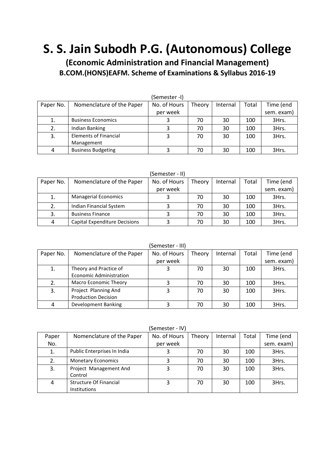## **S. S. Jain Subodh P.G. (Autonomous) College**

**(Economic Administration and Financial Management) B.COM.(HONS)EAFM. Scheme of Examinations & Syllabus 2016-19**

| (Semester -I) |                              |              |        |          |       |            |  |
|---------------|------------------------------|--------------|--------|----------|-------|------------|--|
| Paper No.     | Nomenclature of the Paper    | No. of Hours | Theory | Internal | Total | Time (end  |  |
|               |                              | per week     |        |          |       | sem. exam) |  |
| 1.            | <b>Business Economics</b>    |              | 70     | 30       | 100   | 3Hrs.      |  |
| 2.            | Indian Banking               |              | 70     | 30       | 100   | 3Hrs.      |  |
| 3.            | <b>Elements of Financial</b> |              | 70     | 30       | 100   | 3Hrs.      |  |
|               | Management                   |              |        |          |       |            |  |
| 4             | <b>Business Budgeting</b>    |              | 70     | 30       | 100   | 3Hrs.      |  |

(Semester - II)

| Paper No. | Nomenclature of the Paper     | No. of Hours | Theory | Internal | Total | Time (end  |
|-----------|-------------------------------|--------------|--------|----------|-------|------------|
|           |                               | per week     |        |          |       | sem. exam) |
| 1.        | <b>Managerial Economics</b>   |              | 70     | 30       | 100   | 3Hrs.      |
| 2.        | Indian Financial System       |              | 70     | 30       | 100   | 3Hrs.      |
| 3.        | <b>Business Finance</b>       |              | 70     | 30       | 100   | 3Hrs.      |
| 4         | Capital Expenditure Decisions |              | 70     | 30       | 100   | 3Hrs.      |

(Semester - III)

| Paper No. | Nomenclature of the Paper      | No. of Hours | Theory | Internal | Total | Time (end  |  |  |
|-----------|--------------------------------|--------------|--------|----------|-------|------------|--|--|
|           |                                | per week     |        |          |       | sem. exam) |  |  |
| 1.        | Theory and Practice of         |              | 70     | 30       | 100   | 3Hrs.      |  |  |
|           | <b>Economic Administration</b> |              |        |          |       |            |  |  |
| 2.        | Macro Economic Theory          |              | 70     | 30       | 100   | 3Hrs.      |  |  |
| 3.        | Project Planning And           |              | 70     | 30       | 100   | 3Hrs.      |  |  |
|           | <b>Production Decision</b>     |              |        |          |       |            |  |  |
| 4         | <b>Development Banking</b>     |              | 70     | 30       | 100   | 3Hrs.      |  |  |

(Semester - IV)

| JUILUJUUT IVI |                                                      |              |        |          |       |            |
|---------------|------------------------------------------------------|--------------|--------|----------|-------|------------|
| Paper         | Nomenclature of the Paper                            | No. of Hours | Theory | Internal | Total | Time (end  |
| No.           |                                                      | per week     |        |          |       | sem. exam) |
| 1.            | Public Enterprises In India                          |              | 70     | 30       | 100   | 3Hrs.      |
| 2.            | <b>Monetary Economics</b>                            |              | 70     | 30       | 100   | 3Hrs.      |
| 3.            | Project Management And<br>Control                    |              | 70     | 30       | 100   | 3Hrs.      |
| 4             | <b>Structure Of Financial</b><br><b>Institutions</b> |              | 70     | 30       | 100   | 3Hrs.      |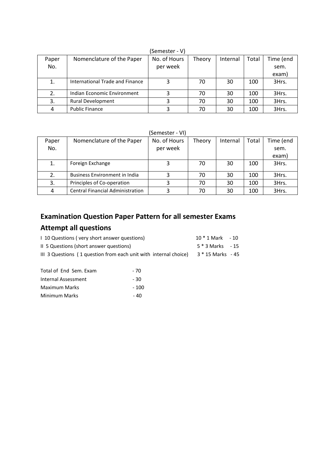| --------- |                                 |              |        |          |       |           |
|-----------|---------------------------------|--------------|--------|----------|-------|-----------|
| Paper     | Nomenclature of the Paper       | No. of Hours | Theory | Internal | Total | Time (end |
| No.       |                                 | per week     |        |          |       | sem.      |
|           |                                 |              |        |          |       | exam)     |
|           | International Trade and Finance |              | 70     | 30       | 100   | 3Hrs.     |
| 2.        | Indian Economic Environment     |              | 70     | 30       | 100   | 3Hrs.     |
| 3.        | <b>Rural Development</b>        |              | 70     | 30       | 100   | 3Hrs.     |
| 4         | <b>Public Finance</b>           |              | 70     | 30       | 100   | 3Hrs.     |

(Semester - V)

| (Semester -<br>VI) |  |
|--------------------|--|
|                    |  |

| Paper | Nomenclature of the Paper               | No. of Hours | Theory | Internal | Total | Time (end |
|-------|-----------------------------------------|--------------|--------|----------|-------|-----------|
| No.   |                                         | per week     |        |          |       | sem.      |
|       |                                         |              |        |          |       | exam)     |
| 1.    | Foreign Exchange                        |              | 70     | 30       | 100   | 3Hrs.     |
| 2.    | <b>Business Environment in India</b>    |              | 70     | 30       | 100   | 3Hrs.     |
| 3.    | Principles of Co-operation              |              | 70     | 30       | 100   | 3Hrs.     |
| 4     | <b>Central Financial Administration</b> |              | 70     | 30       | 100   | 3Hrs.     |

### **Examination Question Paper Pattern for all semester Exams**

### **Attempt all questions**

| 1 10 Questions (very short answer questions)                     | $10 * 1$ Mark $-10$ |  |
|------------------------------------------------------------------|---------------------|--|
| II 5 Questions (short answer questions)                          | $5 * 3$ Marks $-15$ |  |
| III 3 Questions (1 question from each unit with internal choice) | 3 * 15 Marks - 45   |  |

| Total of End Sem. Exam | - 70  |
|------------------------|-------|
| Internal Assessment    | - 30  |
| Maximum Marks          | - 100 |
| Minimum Marks          | - 40  |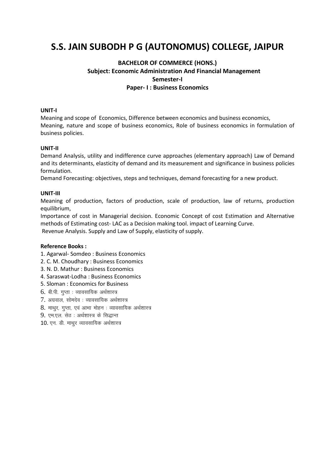## **S.S. JAIN SUBODH P G (AUTONOMUS) COLLEGE, JAIPUR**

### **BACHELOR OF COMMERCE (HONS.) Subject: Economic Administration And Financial Management Semester-I Paper- I : Business Economics**

#### **UNIT-I**

Meaning and scope of Economics, Difference between economics and business economics, Meaning, nature and scope of business economics, Role of business economics in formulation of business policies.

#### **UNIT-II**

Demand Analysis, utility and indifference curve approaches (elementary approach) Law of Demand and its determinants, elasticity of demand and its measurement and significance in business policies formulation.

Demand Forecasting: objectives, steps and techniques, demand forecasting for a new product.

#### **UNIT-III**

Meaning of production, factors of production, scale of production, law of returns, production equilibrium,

Importance of cost in Managerial decision. Economic Concept of cost Estimation and Alternative methods of Estimating cost- LAC as a Decision making tool. impact of Learning Curve.

Revenue Analysis. Supply and Law of Supply, elasticity of supply.

- 1. Agarwal- Somdeo : Business Economics
- 2. C. M. Choudhary : Business Economics
- 3. N. D. Mathur : Business Economics
- 4. Saraswat-Lodha : Business Economics
- 5. Sloman : Economics for Business
- $6.$  बी.पी. गुप्ता : व्यावसायिक अर्थशास्त्र
- $7.$  अग्रवाल, सोमदेव: व्यावसायिक अर्थशास्त्र
- $8.$  माथुर, गुप्ता, एवं आभा मोहन : व्यावसायिक अर्थशास्त्र
- 9. एम.एल. सेठ : अर्थशास्त्र के सिद्धान्त
- $10.$  एन. डी. माथुर व्यावसायिक अर्थशास्त्र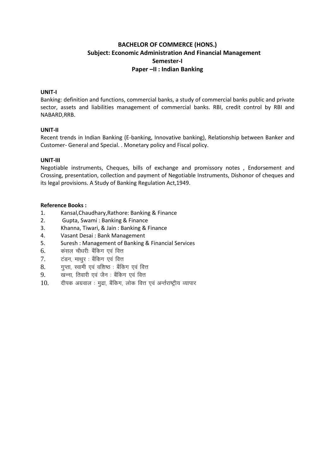#### **BACHELOR OF COMMERCE (HONS.) Subject: Economic Administration And Financial Management Semester-I Paper –II : Indian Banking**

#### **UNIT-I**

Banking: definition and functions, commercial banks, a study of commercial banks public and private sector, assets and liabilities management of commercial banks. RBI, credit control by RBI and NABARD,RRB.

#### **UNIT-II**

Recent trends in Indian Banking (E-banking, Innovative banking), Relationship between Banker and Customer- General and Special. . Monetary policy and Fiscal policy.

#### **UNIT-III**

Negotiable instruments, Cheques, bills of exchange and promissory notes , Endorsement and Crossing, presentation, collection and payment of Negotiable Instruments, Dishonor of cheques and its legal provisions. A Study of Banking Regulation Act,1949.

- 1. Kansal,Chaudhary,Rathore: Banking & Finance
- 2. Gupta, Swami : Banking & Finance
- 3. Khanna, Tiwari, & Jain : Banking & Finance
- 4. Vasant Desai : Bank Management
- 5. Suresh : Management of Banking & Financial Services
- $6.$  कसल चौधरी बैंकिग एवं वित्त
- 7. टंडन, माथुर : बैंकिंग एवं वित्त
- $8.$  yun, स्वामी एवं वशिष्ठः बैंकिंग एवं वित्त
- 9. <u>खन्ना, तिवारी एवं जैन : बैंकिंग एवं वित्त</u>
- $10.$  aीपक अग्रवाल : मुद्रा, बैंकिंग, लोक वित्त एवं अर्न्तराष्ट्रीय व्यापार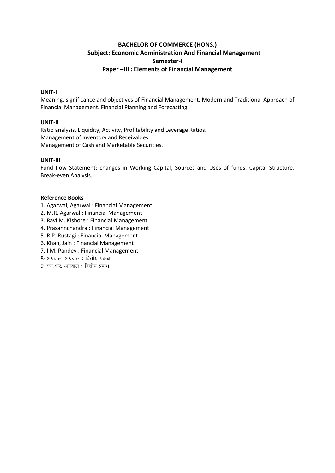#### **BACHELOR OF COMMERCE (HONS.) Subject: Economic Administration And Financial Management Semester-I Paper –III : Elements of Financial Management**

#### **UNIT-I**

Meaning, significance and objectives of Financial Management. Modern and Traditional Approach of Financial Management. Financial Planning and Forecasting.

#### **UNIT-II**

Ratio analysis, Liquidity, Activity, Profitability and Leverage Ratios. Management of Inventory and Receivables. Management of Cash and Marketable Securities.

#### **UNIT-III**

Fund flow Statement: changes in Working Capital, Sources and Uses of funds. Capital Structure. Break-even Analysis.

- 1. Agarwal, Agarwal : Financial Management
- 2. M.R. Agarwal : Financial Management
- 3. Ravi M. Kishore : Financial Management
- 4. Prasannchandra : Financial Management
- 5. R.P. Rustagi : Financial Management
- 6. Khan, Jain : Financial Management
- 7. I.M. Pandey : Financial Management
- $8$  अग्रवाल, अग्रवाल: वित्तीय प्रबन्ध
- $9$  एम.आर. अग्रवाल : वित्तीय प्रबन्ध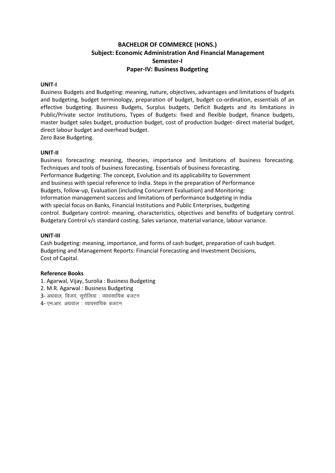#### **BACHELOR OF COMMERCE (HONS.) Subject: Economic Administration And Financial Management Semester-I Paper-IV: Business Budgeting**

#### **UNIT-I**

Business Budgets and Budgeting: meaning, nature, objectives, advantages and limitations of budgets and budgeting, budget terminology, preparation of budget, budget co-ordination, essentials of an effective budgeting. Business Budgets, Surplus budgets, Deficit Budgets and its limitations in Public/Private sector Institutions, Types of Budgets: fixed and flexible budget, finance budgets, master budget sales budget, production budget, cost of production budget- direct material budget, direct labour budget and overhead budget.

Zero Base Budgeting.

#### **UNIT-II**

Business forecasting: meaning, theories, importance and limitations of business forecasting. Techniques and tools of business forecasting. Essentials of business forecasting. Performance Budgeting: The concept, Evolution and its applicability to Government and business with special reference to India. Steps in the preparation of Performance Budgets, follow-up, Evaluation (including Concurrent Evaluation) and Monitoring: Information management success and limitations of performance budgeting in India with special focus on Banks, Financial Institutions and Public Enterprises, budgeting control. Budgetary control: meaning, characteristics, objectives and benefits of budgetary control. Budgetary Control v/s standard costing. Sales variance, material variance, labour variance.

#### **UNIT-III**

Cash budgeting: meaning, importance, and forms of cash budget, preparation of cash budget. Budgeting and Management Reports: Financial Forecasting and Investment Decisions, Cost of Capital.

- 1. Agarwal, Vijay, Surolia : Business Budgeting
- 2. M.R. Agarwal : Business Budgeting
- 3- अग्रवाल, विजय, सुरोलिया: व्यावसायिक बजटन
- 4- एम.आर. अग्रवाल : व्यावसायिक बजटन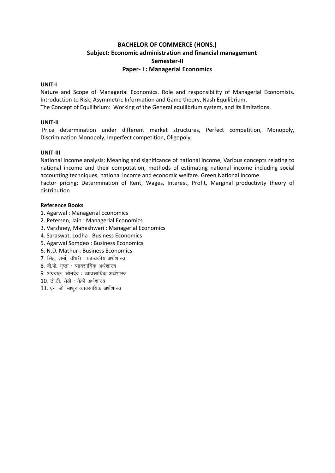#### **BACHELOR OF COMMERCE (HONS.) Subject: Economic administration and financial management Semester-II Paper- I : Managerial Economics**

#### **UNIT-I**

Nature and Scope of Managerial Economics. Role and responsibility of Managerial Economists. Introduction to Risk, Asymmetric Information and Game theory, Nash Equilibrium. The Concept of Equilibrium: Working of the General equilibrium system, and its limitations.

#### **UNIT-II**

Price determination under different market structures, Perfect competition, Monopoly, Discrimination Monopoly, Imperfect competition, Oligopoly.

#### **UNIT-III**

National Income analysis: Meaning and significance of national income, Various concepts relating to national income and their computation, methods of estimating national income including social accounting techniques, national income and economic welfare. Green National Income.

Factor pricing: Determination of Rent, Wages, Interest, Profit, Marginal productivity theory of distribution

- 1. Agarwal : Managerial Economics
- 2. Petersen, Jain : Managerial Economics
- 3. Varshney, Maheshwari : Managerial Economics
- 4. Saraswat, Lodha : Business Economics
- 5. Agarwal Somdeo : Business Economics
- 6. N.D. Mathur : Business Economics
- 7. सिंह, शर्मा, चौधरी : प्रबन्धकीय अर्थशास्त्र
- $8.$  बी.पी. गुप्ता : व्यावसायिक अर्थशास्त्र
- $9.$  अग्रवाल, सोमदेव $:$  व्यावसायिक अर्थशास्त्र
- $10$ . टी.टी. सेठी: मेक्रो अर्थशास्त्र
- $11.$  एन. डी. माथुर व्यावसायिक अर्थशास्त्र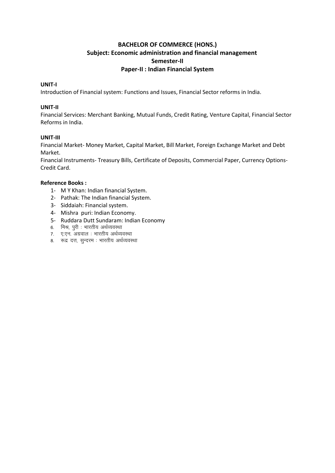#### **BACHELOR OF COMMERCE (HONS.) Subject: Economic administration and financial management Semester-II Paper-II : Indian Financial System**

#### **UNIT-I**

Introduction of Financial system: Functions and Issues, Financial Sector reforms in India.

#### **UNIT-II**

Financial Services: Merchant Banking, Mutual Funds, Credit Rating, Venture Capital, Financial Sector Reforms in India.

#### **UNIT-III**

Financial Market- Money Market, Capital Market, Bill Market, Foreign Exchange Market and Debt Market.

Financial Instruments- Treasury Bills, Certificate of Deposits, Commercial Paper, Currency Options-Credit Card.

- 1- M Y Khan: Indian financial System.
- 2- Pathak: The Indian financial System.
- 3- Siddaiah: Financial system.
- 4- Mishra puri: Indian Economy.
- 5- Ruddara Dutt Sundaram: Indian Economy
- 6. मिश्र, पुरी : भारतीय अर्थव्यवस्था
- 7. ए.एन. अग्रवाल : भारतीय अर्थव्यवस्था
- 8. रूद्र दत्त, सुन्दरम : भारतीय अर्थव्यवस्था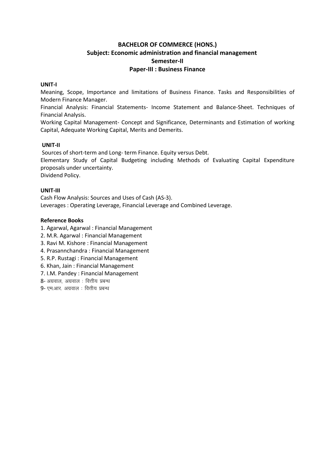#### **BACHELOR OF COMMERCE (HONS.) Subject: Economic administration and financial management Semester-II Paper-III : Business Finance**

#### **UNIT-I**

Meaning, Scope, Importance and limitations of Business Finance. Tasks and Responsibilities of Modern Finance Manager.

Financial Analysis: Financial Statements- Income Statement and Balance-Sheet. Techniques of Financial Analysis.

Working Capital Management- Concept and Significance, Determinants and Estimation of working Capital, Adequate Working Capital, Merits and Demerits.

#### **UNIT-II**

Sources of short-term and Long- term Finance. Equity versus Debt.

Elementary Study of Capital Budgeting including Methods of Evaluating Capital Expenditure proposals under uncertainty.

Dividend Policy.

#### **UNIT-III**

Cash Flow Analysis: Sources and Uses of Cash (AS-3). Leverages : Operating Leverage, Financial Leverage and Combined Leverage.

#### **Reference Books**

1. Agarwal, Agarwal : Financial Management

- 2. M.R. Agarwal : Financial Management
- 3. Ravi M. Kishore : Financial Management
- 4. Prasannchandra : Financial Management
- 5. R.P. Rustagi : Financial Management
- 6. Khan, Jain : Financial Management
- 7. I.M. Pandey : Financial Management
- $8$  अग्रवाल, अग्रवाल: वित्तीय प्रबन्ध
- $9$  एम.आर. अग्रवाल : वित्तीय प्रबन्ध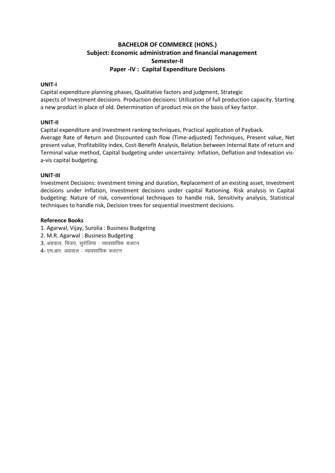#### **BACHELOR OF COMMERCE (HONS.) Subject: Economic administration and financial management Semester-II Paper -IV : Capital Expenditure Decisions**

#### **UNIT-I**

Capital expenditure planning phases, Qualitative factors and judgment, Strategic aspects of Investment decisions. Production decisions: Utilization of full production capacity. Starting a new product in place of old. Determination of product mix on the basis of key factor.

#### **UNIT-II**

Capital expenditure and Investment ranking techniques, Practical application of Payback. Average Rate of Return and Discounted cash flow (Time-adjusted) Techniques, Present value, Net present value, Profitability index, Cost-Benefit Analysis, Relation between Internal Rate of return and Terminal value method, Capital budgeting under uncertainty: Inflation, Deflation and Indexation visa-vis capital budgeting.

#### **UNIT-III**

Investment Decisions: Investment timing and duration, Replacement of an existing asset, Investment decisions under Inflation, Investment decisions under capital Rationing. Risk analysis in Capital budgeting: Nature of risk, conventional techniques to handle risk, Sensitivity analysis, Statistical techniques to handle risk, Decision trees for sequential investment decisions.

- 1. Agarwal, Vijay, Surolia : Business Budgeting
- 2. M.R. Agarwal : Business Budgeting
- $3.$  अग्रवाल, विजय, सुरोलिया: व्यावसायिक बजटन
- $4$  एम.आर. अग्रवाल : व्यावसायिक बजटन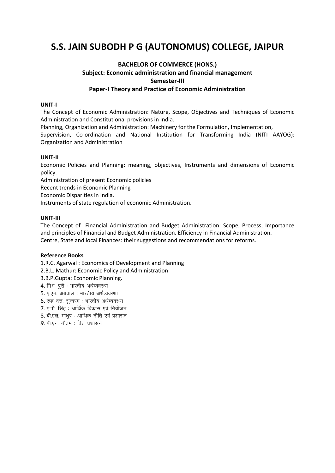## S.S. JAIN SUBODH P G (AUTONOMUS) COLLEGE, JAIPUR

#### **BACHELOR OF COMMERCE (HONS.)** Subject: Economic administration and financial management Semester-III Paper-I Theory and Practice of Economic Administration

#### UNIT-I

The Concept of Economic Administration: Nature, Scope, Objectives and Techniques of Economic Administration and Constitutional provisions in India.

Planning, Organization and Administration: Machinery for the Formulation, Implementation, Supervision, Co-ordination and National Institution for Transforming India (NITI AAYOG): Organization and Administration

#### UNIT-II

Economic Policies and Planning: meaning, objectives, Instruments and dimensions of Economic policy.

Administration of present Economic policies

Recent trends in Economic Planning

Economic Disparities in India.

Instruments of state regulation of economic Administration.

#### UNIT-III

The Concept of Financial Administration and Budget Administration: Scope, Process, Importance and principles of Financial and Budget Administration. Efficiency in Financial Administration. Centre, State and local Finances: their suggestions and recommendations for reforms.

#### **Reference Books**

1.R.C. Agarwal: Economics of Development and Planning

2.B.L. Mathur: Economic Policy and Administration

3.B.P.Gupta: Economic Planning.

4. मिश्र, पूरी : भारतीय अर्थव्यवस्था

5. ए.एन. अग्रवाल : भारतीय अर्थव्यवस्था

6. रूद्र दत्त, सुन्दरम: भारतीय अर्थव्यवस्था

7. ए.पी. सिंह : आर्थिक विकास एवं नियोजन

8. बी.एल. माथुर : आर्थिक नीति एवं प्रशासन

 $9.$  पी.एन. गौतम: वित्त प्रशासन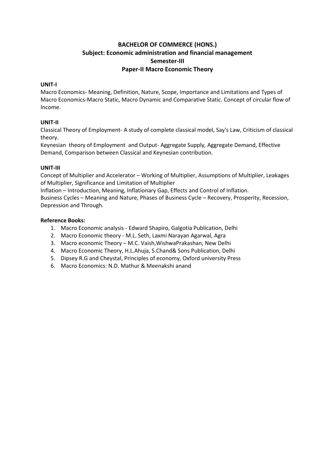#### **BACHELOR OF COMMERCE (HONS.) Subject: Economic administration and financial management Semester-III Paper-II Macro Economic Theory**

#### **UNIT-I**

Macro Economics- Meaning, Definition, Nature, Scope, Importance and Limitations and Types of Macro Economics-Macro Static, Macro Dynamic and Comparative Static. Concept of circular flow of Income.

#### **UNIT-II**

Classical Theory of Employment- A study of complete classical model, Say's Law, Criticism of classical theory.

Keynesian theory of Employment and Output- Aggregate Supply, Aggregate Demand, Effective Demand, Comparison between Classical and Keynesian contribution.

#### **UNIT-III**

Concept of Multiplier and Accelerator – Working of Multiplier, Assumptions of Multiplier, Leakages of Multiplier, Significance and Limitation of Multiplier

Inflation – Introduction, Meaning, Inflationary Gap, Effects and Control of Inflation.

Business Cycles – Meaning and Nature, Phases of Business Cycle – Recovery, Prosperity, Recession, Depression and Through.

- 1. Macro Economic analysis Edward Shapiro, Galgotia Publication, Delhi
- 2. Macro Economic theory M.L. Seth, Laxmi Narayan Agarwal, Agra
- 3. Macro economic Theory M.C. Vaish,WishwaPrakashan, New Delhi
- 4. Macro Economic Theory, H.L.Ahuja, S.Chand& Sons Publication, Delhi
- 5. Dipsey R.G and Cheystal, Principles of economy, Oxford university Press
- 6. Macro Economics: N.D. Mathur & Meenakshi anand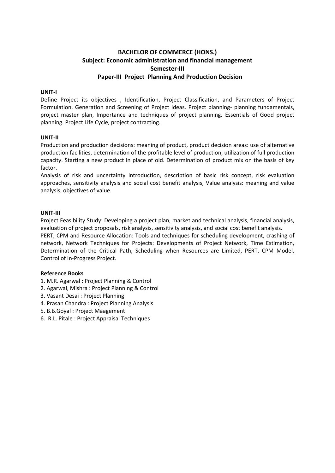### **BACHELOR OF COMMERCE (HONS.) Subject: Economic administration and financial management Semester-III Paper-III Project Planning And Production Decision**

#### **UNIT-I**

Define Project its objectives , Identification, Project Classification, and Parameters of Project Formulation. Generation and Screening of Project Ideas. Project planning- planning fundamentals, project master plan, Importance and techniques of project planning. Essentials of Good project planning. Project Life Cycle, project contracting.

#### **UNIT-II**

Production and production decisions: meaning of product, product decision areas: use of alternative production facilities, determination of the profitable level of production, utilization of full production capacity. Starting a new product in place of old. Determination of product mix on the basis of key factor.

Analysis of risk and uncertainty introduction, description of basic risk concept, risk evaluation approaches, sensitivity analysis and social cost benefit analysis, Value analysis: meaning and value analysis, objectives of value.

#### **UNIT-III**

Project Feasibility Study: Developing a project plan, market and technical analysis, financial analysis, evaluation of project proposals, risk analysis, sensitivity analysis, and social cost benefit analysis. PERT, CPM and Resource Allocation: Tools and techniques for scheduling development, crashing of network, Network Techniques for Projects: Developments of Project Network, Time Estimation, Determination of the Critical Path, Scheduling when Resources are Limited, PERT, CPM Model. Control of In-Progress Project.

- 1. M.R. Agarwal : Project Planning & Control
- 2. Agarwal, Mishra : Project Planning & Control
- 3. Vasant Desai : Project Planning
- 4. Prasan Chandra : Project Planning Analysis
- 5. B.B.Goyal : Project Maagement
- 6. R.L. Pitale : Project Appraisal Techniques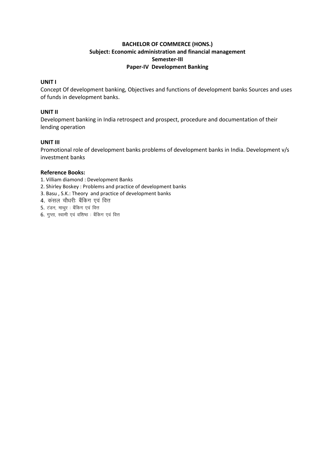#### **BACHELOR OF COMMERCE (HONS.) Subject: Economic administration and financial management Semester-III Paper-IV Development Banking**

#### **UNIT I**

Concept Of development banking, Objectives and functions of development banks Sources and uses of funds in development banks.

#### **UNIT II**

Development banking in India retrospect and prospect, procedure and documentation of their lending operation

#### **UNIT III**

Promotional role of development banks problems of development banks in India. Development v/s investment banks

- 1. Villiam diamond : Development Banks
- 2. Shirley Boskey : Problems and practice of development banks
- 3. Basu , S.K.: Theory and practice of development banks
- 4. कसल चौधरी बैंकिंग एवं वित्त
- 5. टंडन, माथुर : बैंकिंग एवं वित्त
- 6. गुप्ता, स्वामी एवं वशिष्ठ: बैंकिंग एवं वित्त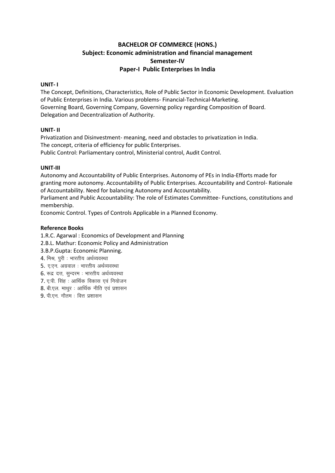#### **BACHELOR OF COMMERCE (HONS.)** Subject: Economic administration and financial management Semester-IV Paper-I Public Enterprises In India

#### UNIT-1

The Concept, Definitions, Characteristics, Role of Public Sector in Economic Development. Evaluation of Public Enterprises in India. Various problems- Financial-Technical-Marketing. Governing Board, Governing Company, Governing policy regarding Composition of Board. Delegation and Decentralization of Authority.

#### UNIT-II

Privatization and Disinvestment- meaning, need and obstacles to privatization in India. The concept, criteria of efficiency for public Enterprises. Public Control: Parliamentary control, Ministerial control, Audit Control.

#### UNIT-III

Autonomy and Accountability of Public Enterprises. Autonomy of PEs in India-Efforts made for granting more autonomy. Accountability of Public Enterprises. Accountability and Control-Rationale of Accountability. Need for balancing Autonomy and Accountability.

Parliament and Public Accountability: The role of Estimates Committee- Functions, constitutions and membership.

Economic Control. Types of Controls Applicable in a Planned Economy.

#### **Reference Books**

1.R.C. Agarwal: Economics of Development and Planning

- 2.B.L. Mathur: Economic Policy and Administration
- 3.B.P.Gupta: Economic Planning.
- 4. मिश्र, पुरी : भारतीय अर्थव्यवस्था
- 5. ए.एन. अग्रवाल : भारतीय अर्थव्यवस्था
- 6. रूद्र दत्त, सुन्दरम: भारतीय अर्थव्यवस्था
- 7. ए.पी. सिंह : आर्थिक विकास एवं नियोजन
- 8. बी.एल. माथर: आर्थिक नीति एवं प्रशासन
- 9. पी.एन. गौतम: वित्त प्रशासन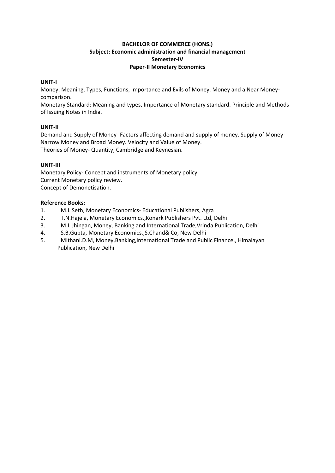#### **BACHELOR OF COMMERCE (HONS.) Subject: Economic administration and financial management Semester-IV Paper-II Monetary Economics**

#### **UNIT-I**

Money: Meaning, Types, Functions, Importance and Evils of Money. Money and a Near Moneycomparison.

Monetary Standard: Meaning and types, Importance of Monetary standard. Principle and Methods of Issuing Notes in India.

#### **UNIT-II**

Demand and Supply of Money- Factors affecting demand and supply of money. Supply of Money-Narrow Money and Broad Money. Velocity and Value of Money. Theories of Money- Quantity, Cambridge and Keynesian.

#### **UNIT-III**

Monetary Policy- Concept and instruments of Monetary policy. Current Monetary policy review. Concept of Demonetisation.

- 1. M.L.Seth, Monetary Economics- Educational Publishers, Agra
- 2. T.N.Hajela, Monetary Economics.,Konark Publishers Pvt. Ltd, Delhi
- 3. M.L.Jhingan, Money, Banking and International Trade,Vrinda Publication, Delhi
- 4. S.B.Gupta, Monetary Economics.,S.Chand& Co, New Delhi
- 5. MIthani.D.M, Money,Banking,International Trade and Public Finance., Himalayan Publication, New Delhi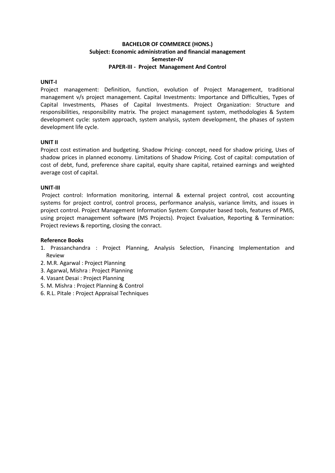#### **BACHELOR OF COMMERCE (HONS.) Subject: Economic administration and financial management Semester-IV PAPER-III - Project Management And Control**

#### **UNIT-I**

Project management: Definition, function, evolution of Project Management, traditional management v/s project management. Capital Investments: Importance and Difficulties, Types of Capital Investments, Phases of Capital Investments. Project Organization: Structure and responsibilities, responsibility matrix. The project management system, methodologies & System development cycle: system approach, system analysis, system development, the phases of system development life cycle.

#### **UNIT II**

Project cost estimation and budgeting. Shadow Pricing- concept, need for shadow pricing, Uses of shadow prices in planned economy. Limitations of Shadow Pricing. Cost of capital: computation of cost of debt, fund, preference share capital, equity share capital, retained earnings and weighted average cost of capital.

#### **UNIT-III**

Project control: Information monitoring, internal & external project control, cost accounting systems for project control, control process, performance analysis, variance limits, and issues in project control. Project Management Information System: Computer based tools, features of PMIS, using project management software (MS Projects). Project Evaluation, Reporting & Termination: Project reviews & reporting, closing the conract.

- 1. Prassanchandra : Project Planning, Analysis Selection, Financing Implementation and Review
- 2. M.R. Agarwal : Project Planning
- 3. Agarwal, Mishra : Project Planning
- 4. Vasant Desai : Project Planning
- 5. M. Mishra : Project Planning & Control
- 6. R.L. Pitale : Project Appraisal Techniques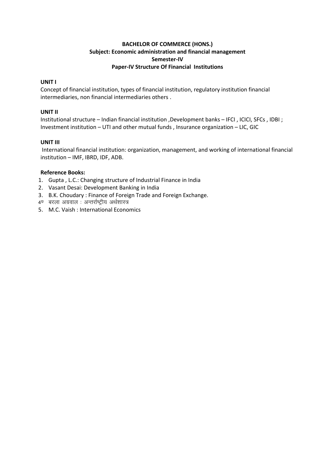#### **BACHELOR OF COMMERCE (HONS.) Subject: Economic administration and financial management Semester-IV Paper-IV Structure Of Financial Institutions**

#### **UNIT I**

Concept of financial institution, types of financial institution, regulatory institution financial intermediaries, non financial intermediaries others .

#### **UNIT II**

Institutional structure – Indian financial institution ,Development banks – IFCI , ICICI, SFCs , IDBI ; Investment institution – UTI and other mutual funds , Insurance organization – LIC, GIC

#### **UNIT III**

International financial institution: organization, management, and working of international financial institution – IMF, IBRD, IDF, ADB.

- 1. Gupta , L.C.: Changing structure of Industrial Finance in India
- 2. Vasant Desai: Development Banking in India
- 3. B.K. Choudary : Finance of Foreign Trade and Foreign Exchange.
- 4ण बरला अग्रवाल : अन्तर्राष्ट्रीय अर्थशास्त्र
- 5. M.C. Vaish : International Economics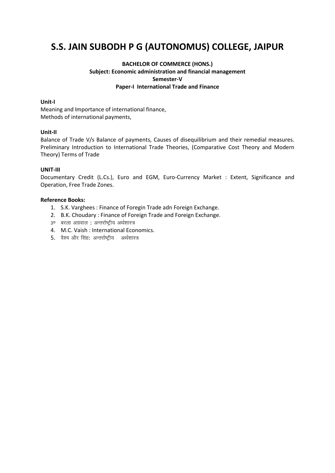## **S.S. JAIN SUBODH P G (AUTONOMUS) COLLEGE, JAIPUR**

#### **BACHELOR OF COMMERCE (HONS.) Subject: Economic administration and financial management Semester-V Paper-I International Trade and Finance**

#### **Unit-I**

Meaning and Importance of international finance, Methods of international payments,

#### **Unit-II**

Balance of Trade V/s Balance of payments, Causes of disequilibrium and their remedial measures. Preliminary Introduction to International Trade Theories, (Comparative Cost Theory and Modern Theory) Terms of Trade

#### **UNIT-III**

Documentary Credit (L.Cs.), Euro and EGM, Euro-Currency Market : Extent, Significance and Operation, Free Trade Zones.

- 1. S.K. Varghees : Finance of Foregin Trade adn Foreign Exchange.
- 2. B.K. Choudary : Finance of Foreign Trade and Foreign Exchange.
- 3<sup>0</sup> बरला अग्रवाल : अन्तर्राष्ट्रीय अर्थशास्त्र
- 4. M.C. Vaish : International Economics.
- 5. वैश्य और सिंह: अन्तर्राष्ट्रीय अर्थशास्त्र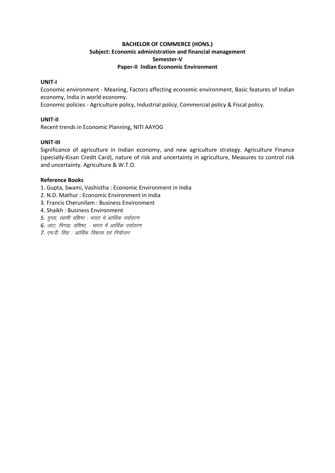#### **BACHELOR OF COMMERCE (HONS.)** Subject: Economic administration and financial management Semester-V **Paper-II Indian Economic Environment**

#### UNIT-I

Economic environment - Meaning, Factors affecting economic environment, Basic features of Indian economy, India in world economy.

Economic policies - Agriculture policy, Industrial policy, Commercial policy & Fiscal policy.

#### UNIT-II

Recent trends in Economic Planning, NITI AAYOG

#### UNIT-III

Significance of agriculture in Indian economy, and new agriculture strategy. Agriculture Finance (specially-Kisan Credit Card), nature of risk and uncertainty in agriculture, Measures to control risk and uncertainty. Agriculture & W.T.O.

- 1. Gupta, Swami, Vashistha: Economic Environment in India
- 2. N.D. Mathur: Economic Environment in India
- 3. Francis Cherunilam : Business Environment
- 4. Shaikh: Business Environment
- 5. गुप्ता, स्वामी वशिष्ठ : भारत में आर्थिक पर्यावरण
- 6. जाट, भिण्डा, वशिष्ठ, : भारत में आर्थिक पर्यावरण
- 7. एम.पी. सिंह : आर्थिक विकास एवं नियोजन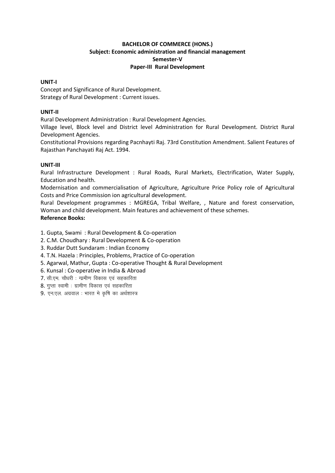#### **BACHELOR OF COMMERCE (HONS.) Subject: Economic administration and financial management Semester-V Paper-III Rural Development**

#### **UNIT-I**

Concept and Significance of Rural Development. Strategy of Rural Development : Current issues.

#### **UNIT-II**

Rural Development Administration : Rural Development Agencies.

Village level, Block level and District level Administration for Rural Development. District Rural Development Agencies.

Constitutional Provisions regarding Pacnhayti Raj. 73rd Constitution Amendment. Salient Features of Rajasthan Panchayati Raj Act. 1994.

#### **UNIT-III**

Rural Infrastructure Development : Rural Roads, Rural Markets, Electrification, Water Supply, Education and health.

Modernisation and commercialisation of Agriculture, Agriculture Price Policy role of Agricultural Costs and Price Commission ion agricultural development.

Rural Development programmes : MGREGA, Tribal Welfare, , Nature and forest conservation, Woman and child development. Main features and achievement of these schemes. **Reference Books:**

- 1. Gupta, Swami : Rural Development & Co-operation
- 2. C.M. Choudhary : Rural Development & Co-operation
- 3. Ruddar Dutt Sundaram : Indian Economy
- 4. T.N. Hazela : Principles, Problems, Practice of Co-operation
- 5. Agarwal, Mathur, Gupta : Co-operative Thought & Rural Development
- 6. Kunsal : Co-operative in India & Abroad
- 7. सी.एम. चौधरी : ग्रामीण विकास एवं सहकारिता
- $8.$  गुप्ता स्वामी : ग्रामीण विकास एवं सहकारिता
- $9.$  एन.एल. अग्रवाल : भारत मे कृषि का अर्थशास्त्र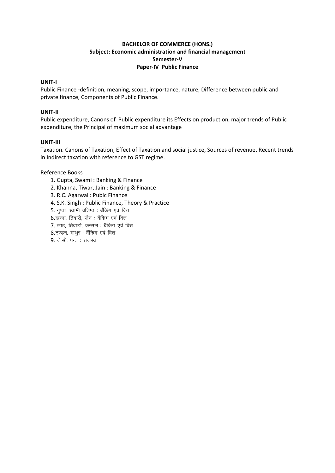#### **BACHELOR OF COMMERCE (HONS.) Subject: Economic administration and financial management Semester-V Paper-IV Public Finance**

#### **UNIT-I**

Public Finance -definition, meaning, scope, importance, nature, Difference between public and private finance, Components of Public Finance.

#### **UNIT-II**

Public expenditure, Canons of Public expenditure its Effects on production, major trends of Public expenditure, the Principal of maximum social advantage

#### **UNIT-III**

Taxation. Canons of Taxation, Effect of Taxation and social justice, Sources of revenue, Recent trends in Indirect taxation with reference to GST regime.

- 1. Gupta, Swami : Banking & Finance
- 2. Khanna, Tiwar, Jain : Banking & Finance
- 3. R.C. Agarwal : Pubic Finance
- 4. S.K. Singh : Public Finance, Theory & Practice
- $5.$  गुप्ता, स्वामी वशिष्ठ : बौकिंग एवं वित्त
- $6.$ खन्ना, तिवारी, जैन: बैंकिग एवं वित्त
- 7. जाट, तिवाडी, कन्सल : बैंकिग एवं वित्त
- 8.टण्डन, माथूर : बैंकिग एवं वित्त
- $9.$  जे.सी. पन्त: राजस्व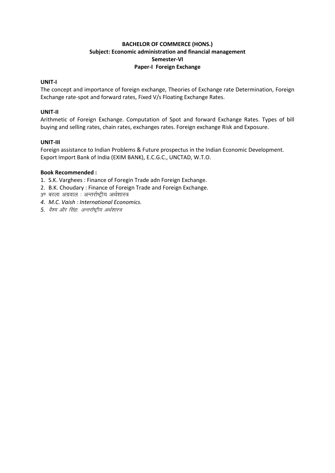#### **BACHELOR OF COMMERCE (HONS.)** Subject: Economic administration and financial management Semester-VI Paper-I Foreign Exchange

#### UNIT-I

The concept and importance of foreign exchange, Theories of Exchange rate Determination, Foreign Exchange rate-spot and forward rates, Fixed V/s Floating Exchange Rates.

#### UNIT-II

Arithmetic of Foreign Exchange. Computation of Spot and forward Exchange Rates. Types of bill buying and selling rates, chain rates, exchanges rates. Foreign exchange Risk and Exposure.

#### UNIT-III

Foreign assistance to Indian Problems & Future prospectus in the Indian Economic Development. Export Import Bank of India (EXIM BANK), E.C.G.C., UNCTAD, W.T.O.

#### **Book Recommended:**

- 1. S.K. Varghees: Finance of Foregin Trade adn Foreign Exchange.
- 2. B.K. Choudary: Finance of Foreign Trade and Foreign Exchange.
- 3ण बरला अग्रवाल : अन्तर्राष्ट्रीय अर्थशास्त्र
- 4. M.C. Vaish : International Economics.
- 5. वैश्य और सिंह: अन्तर्राष्ट्रीय अर्थशास्त्र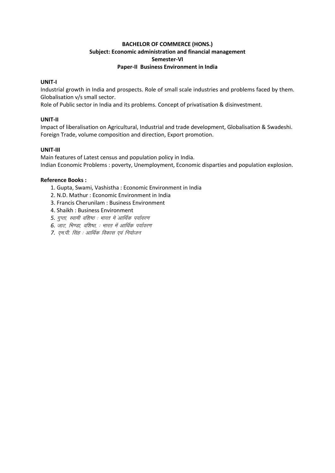#### **BACHELOR OF COMMERCE (HONS.)** Subject: Economic administration and financial management Semester-VI Paper-II Business Environment in India

#### UNIT-I

Industrial growth in India and prospects. Role of small scale industries and problems faced by them. Globalisation v/s small sector.

Role of Public sector in India and its problems. Concept of privatisation & disinvestment.

#### UNIT-II

Impact of liberalisation on Agricultural, Industrial and trade development, Globalisation & Swadeshi. Foreign Trade, volume composition and direction, Export promotion.

#### UNIT-III

Main features of Latest census and population policy in India. Indian Economic Problems: poverty, Unemployment, Economic disparties and population explosion.

- 1. Gupta, Swami, Vashistha: Economic Environment in India
- 2. N.D. Mathur: Economic Environment in India
- 3. Francis Cherunilam : Business Environment
- 4. Shaikh: Business Environment
- 5. गुप्ता, स्वामी वशिष्ठ : भारत में आर्थिक पर्यावरण
- 6. जाट, भिण्डा, वशिष्ठ, : भारत में आर्थिक पर्यावरण
- 7. एम.पी. सिंह : आर्थिक विकास एवं नियोजन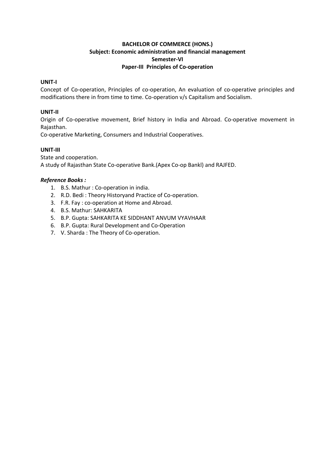#### **BACHELOR OF COMMERCE (HONS.) Subject: Economic administration and financial management Semester-VI Paper-III Principles of Co-operation**

#### **UNIT-I**

Concept of Co-operation, Principles of co-operation, An evaluation of co-operative principles and modifications there in from time to time. Co-operation v/s Capitalism and Socialism.

#### **UNIT-II**

Origin of Co-operative movement, Brief history in India and Abroad. Co-operative movement in Rajasthan.

Co-operative Marketing, Consumers and Industrial Cooperatives.

#### **UNIT-III**

State and cooperation. A study of Rajasthan State Co-operative Bank.(Apex Co-op Bankl) and RAJFED.

- 1. B.S. Mathur : Co-operation in india.
- 2. R.D. Bedi : Theory Historyand Practice of Co-operation.
- 3. F.R. Fay : co-operation at Home and Abroad.
- 4. B.S. Mathur: SAHKARITA
- 5. B.P. Gupta: SAHKARITA KE SIDDHANT ANVUM VYAVHAAR
- 6. B.P. Gupta: Rural Development and Co-Operation
- 7. V. Sharda : The Theory of Co-operation.